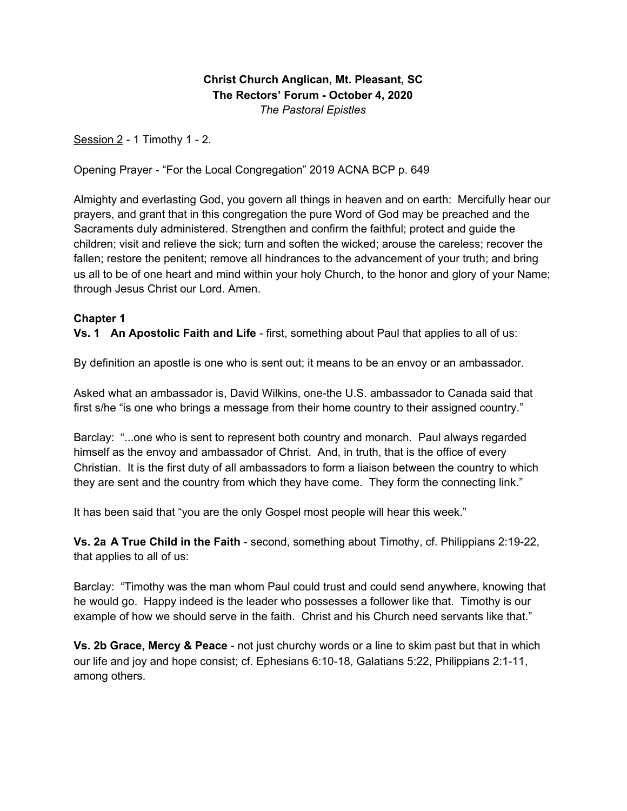**Christ Church Anglican, Mt. Pleasant, SC The Rectors' Forum - October 4, 2020** *The Pastoral Epistles*

Session 2 - 1 Timothy 1 - 2.

Opening Prayer - "For the Local Congregation" 2019 ACNA BCP p. 649

Almighty and everlasting God, you govern all things in heaven and on earth: Mercifully hear our prayers, and grant that in this congregation the pure Word of God may be preached and the Sacraments duly administered. Strengthen and confirm the faithful; protect and guide the children; visit and relieve the sick; turn and soften the wicked; arouse the careless; recover the fallen; restore the penitent; remove all hindrances to the advancement of your truth; and bring us all to be of one heart and mind within your holy Church, to the honor and glory of your Name; through Jesus Christ our Lord. Amen.

### **Chapter 1**

**Vs. 1 An Apostolic Faith and Life** - first, something about Paul that applies to all of us:

By definition an apostle is one who is sent out; it means to be an envoy or an ambassador.

Asked what an ambassador is, David Wilkins, one-the U.S. ambassador to Canada said that first s/he "is one who brings a message from their home country to their assigned country."

Barclay: "...one who is sent to represent both country and monarch. Paul always regarded himself as the envoy and ambassador of Christ. And, in truth, that is the office of every Christian. It is the first duty of all ambassadors to form a liaison between the country to which they are sent and the country from which they have come. They form the connecting link."

It has been said that "you are the only Gospel most people will hear this week."

**Vs. 2a A True Child in the Faith** - second, something about Timothy, cf. Philippians 2:19-22, that applies to all of us:

Barclay: "Timothy was the man whom Paul could trust and could send anywhere, knowing that he would go. Happy indeed is the leader who possesses a follower like that. Timothy is our example of how we should serve in the faith. Christ and his Church need servants like that."

**Vs. 2b Grace, Mercy & Peace** - not just churchy words or a line to skim past but that in which our life and joy and hope consist; cf. Ephesians 6:10-18, Galatians 5:22, Philippians 2:1-11, among others.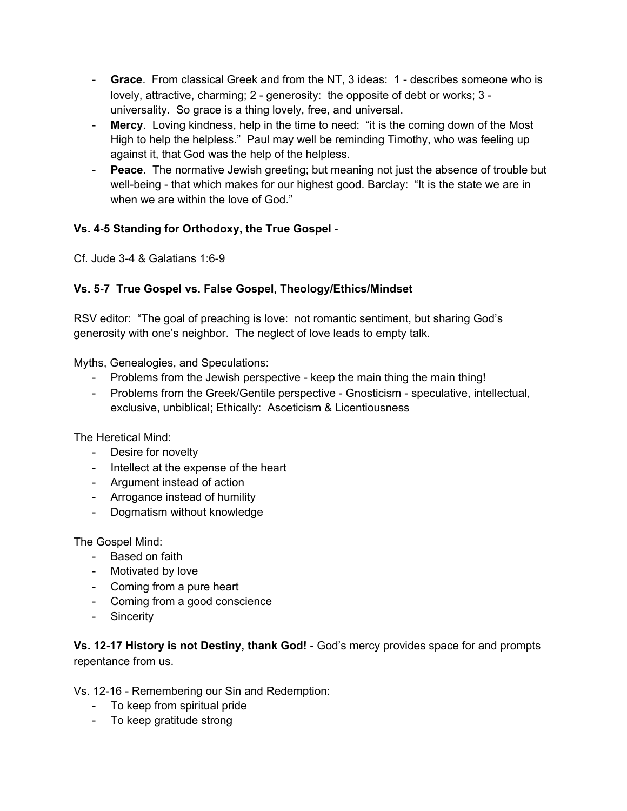- **Grace**. From classical Greek and from the NT, 3 ideas: 1 describes someone who is lovely, attractive, charming; 2 - generosity: the opposite of debt or works; 3 universality. So grace is a thing lovely, free, and universal.
- **Mercy**. Loving kindness, help in the time to need: "it is the coming down of the Most High to help the helpless." Paul may well be reminding Timothy, who was feeling up against it, that God was the help of the helpless.
- **Peace**. The normative Jewish greeting; but meaning not just the absence of trouble but well-being - that which makes for our highest good. Barclay: "It is the state we are in when we are within the love of God."

# **Vs. 4-5 Standing for Orthodoxy, the True Gospel** -

Cf. Jude 3-4 & Galatians 1:6-9

### **Vs. 5-7 True Gospel vs. False Gospel, Theology/Ethics/Mindset**

RSV editor: "The goal of preaching is love: not romantic sentiment, but sharing God's generosity with one's neighbor. The neglect of love leads to empty talk.

Myths, Genealogies, and Speculations:

- Problems from the Jewish perspective keep the main thing the main thing!
- Problems from the Greek/Gentile perspective Gnosticism speculative, intellectual, exclusive, unbiblical; Ethically: Asceticism & Licentiousness

The Heretical Mind:

- Desire for novelty
- Intellect at the expense of the heart
- Argument instead of action
- Arrogance instead of humility
- Dogmatism without knowledge

The Gospel Mind:

- Based on faith
- Motivated by love
- Coming from a pure heart
- Coming from a good conscience
- Sincerity

**Vs. 12-17 History is not Destiny, thank God!** - God's mercy provides space for and prompts repentance from us.

Vs. 12-16 - Remembering our Sin and Redemption:

- To keep from spiritual pride
- To keep gratitude strong